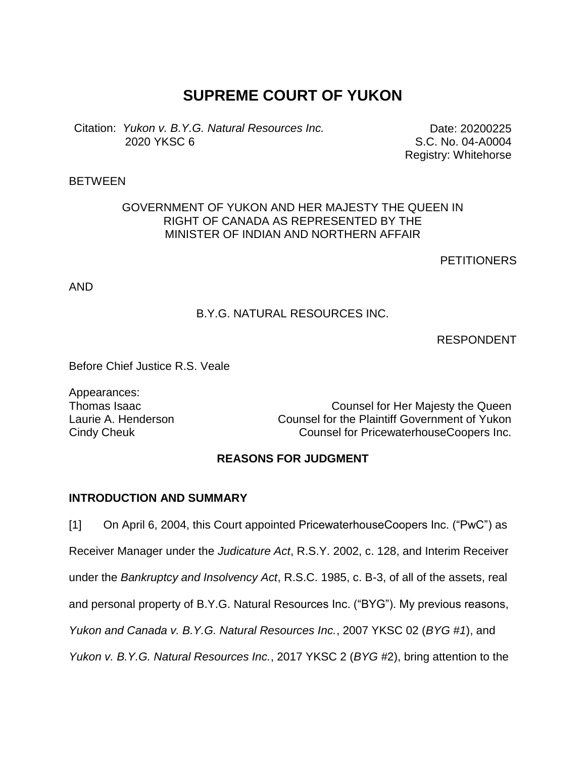# **SUPREME COURT OF YUKON**

Citation: *Yukon v. B.Y.G. Natural Resources Inc.* 2020 YKSC 6

Date: 20200225 S.C. No. 04-A0004 Registry: Whitehorse

## BETWEEN

## GOVERNMENT OF YUKON AND HER MAJESTY THE QUEEN IN RIGHT OF CANADA AS REPRESENTED BY THE MINISTER OF INDIAN AND NORTHERN AFFAIR

**PETITIONERS** 

AND

# B.Y.G. NATURAL RESOURCES INC.

RESPONDENT

Before Chief Justice R.S. Veale

Appearances:

Thomas Isaac **Counsel for Her Majesty the Queen** Laurie A. Henderson Counsel for the Plaintiff Government of Yukon Cindy Cheuk Counsel for PricewaterhouseCoopers Inc.

## **REASONS FOR JUDGMENT**

#### **INTRODUCTION AND SUMMARY**

[1] On April 6, 2004, this Court appointed PricewaterhouseCoopers Inc. ("PwC") as Receiver Manager under the *Judicature Act*, R.S.Y. 2002, c. 128, and Interim Receiver under the *Bankruptcy and Insolvency Act*, R.S.C. 1985, c. B-3, of all of the assets, real and personal property of B.Y.G. Natural Resources Inc. ("BYG"). My previous reasons, *Yukon and Canada v. B.Y.G. Natural Resources Inc.*, 2007 YKSC 02 (*BYG #1*), and *Yukon v. B.Y.G. Natural Resources Inc.*, 2017 YKSC 2 (*BYG #*2), bring attention to the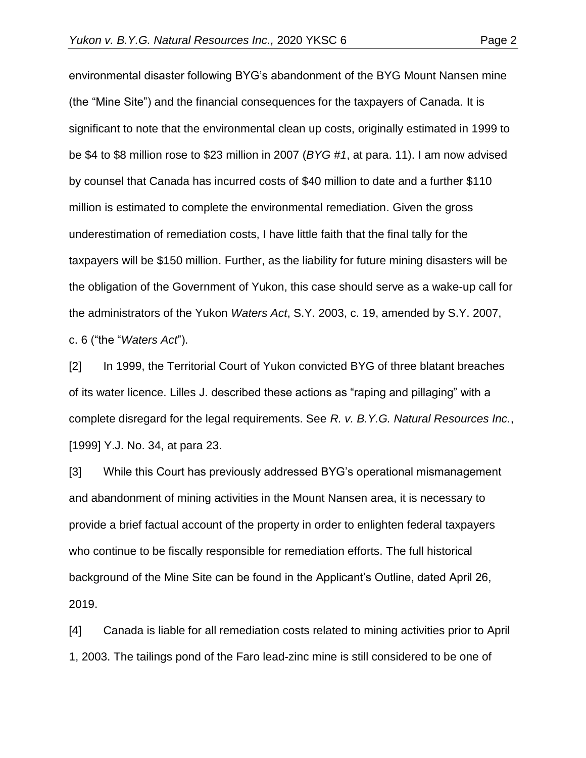environmental disaster following BYG's abandonment of the BYG Mount Nansen mine (the "Mine Site") and the financial consequences for the taxpayers of Canada. It is significant to note that the environmental clean up costs, originally estimated in 1999 to be \$4 to \$8 million rose to \$23 million in 2007 (*BYG #1*, at para. 11). I am now advised by counsel that Canada has incurred costs of \$40 million to date and a further \$110 million is estimated to complete the environmental remediation. Given the gross underestimation of remediation costs, I have little faith that the final tally for the taxpayers will be \$150 million. Further, as the liability for future mining disasters will be the obligation of the Government of Yukon, this case should serve as a wake-up call for the administrators of the Yukon *Waters Act*, S.Y. 2003, c. 19, amended by S.Y. 2007, c. 6 ("the "*Waters Act*").

[2] In 1999, the Territorial Court of Yukon convicted BYG of three blatant breaches of its water licence. Lilles J. described these actions as "raping and pillaging" with a complete disregard for the legal requirements. See *R. v. B.Y.G. Natural Resources Inc.*, [1999] Y.J. No. 34, at para 23.

[3] While this Court has previously addressed BYG's operational mismanagement and abandonment of mining activities in the Mount Nansen area, it is necessary to provide a brief factual account of the property in order to enlighten federal taxpayers who continue to be fiscally responsible for remediation efforts. The full historical background of the Mine Site can be found in the Applicant's Outline, dated April 26, 2019.

[4] Canada is liable for all remediation costs related to mining activities prior to April 1, 2003. The tailings pond of the Faro lead-zinc mine is still considered to be one of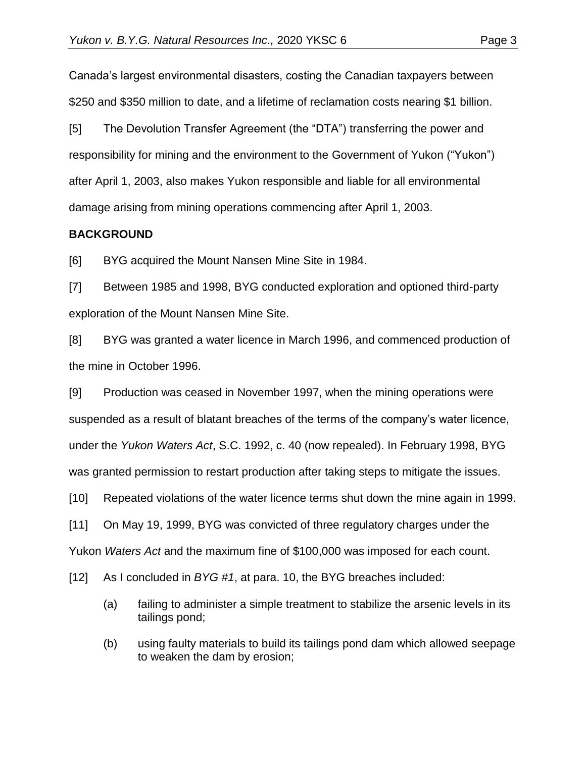Canada's largest environmental disasters, costing the Canadian taxpayers between \$250 and \$350 million to date, and a lifetime of reclamation costs nearing \$1 billion.

[5] The Devolution Transfer Agreement (the "DTA") transferring the power and responsibility for mining and the environment to the Government of Yukon ("Yukon") after April 1, 2003, also makes Yukon responsible and liable for all environmental damage arising from mining operations commencing after April 1, 2003.

# **BACKGROUND**

[6] BYG acquired the Mount Nansen Mine Site in 1984.

[7] Between 1985 and 1998, BYG conducted exploration and optioned third-party exploration of the Mount Nansen Mine Site.

[8] BYG was granted a water licence in March 1996, and commenced production of the mine in October 1996.

[9] Production was ceased in November 1997, when the mining operations were suspended as a result of blatant breaches of the terms of the company's water licence, under the *Yukon Waters Act*, S.C. 1992, c. 40 (now repealed). In February 1998, BYG was granted permission to restart production after taking steps to mitigate the issues.

[10] Repeated violations of the water licence terms shut down the mine again in 1999.

[11] On May 19, 1999, BYG was convicted of three regulatory charges under the

Yukon *Waters Act* and the maximum fine of \$100,000 was imposed for each count.

[12] As I concluded in *BYG #1*, at para. 10, the BYG breaches included:

- (a) failing to administer a simple treatment to stabilize the arsenic levels in its tailings pond;
- (b) using faulty materials to build its tailings pond dam which allowed seepage to weaken the dam by erosion;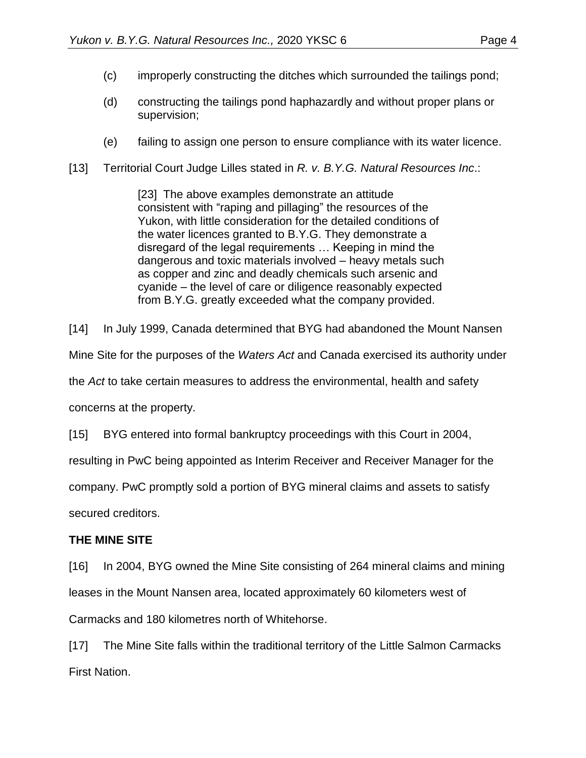- (c) improperly constructing the ditches which surrounded the tailings pond;
- (d) constructing the tailings pond haphazardly and without proper plans or supervision;
- (e) failing to assign one person to ensure compliance with its water licence.
- [13] Territorial Court Judge Lilles stated in *R. v. B.Y.G. Natural Resources Inc*.:

[23] The above examples demonstrate an attitude consistent with "raping and pillaging" the resources of the Yukon, with little consideration for the detailed conditions of the water licences granted to B.Y.G. They demonstrate a disregard of the legal requirements … Keeping in mind the dangerous and toxic materials involved – heavy metals such as copper and zinc and deadly chemicals such arsenic and cyanide – the level of care or diligence reasonably expected from B.Y.G. greatly exceeded what the company provided.

[14] In July 1999, Canada determined that BYG had abandoned the Mount Nansen

Mine Site for the purposes of the *Waters Act* and Canada exercised its authority under

the *Act* to take certain measures to address the environmental, health and safety

concerns at the property.

[15] BYG entered into formal bankruptcy proceedings with this Court in 2004,

resulting in PwC being appointed as Interim Receiver and Receiver Manager for the

company. PwC promptly sold a portion of BYG mineral claims and assets to satisfy

secured creditors.

# **THE MINE SITE**

[16] In 2004, BYG owned the Mine Site consisting of 264 mineral claims and mining leases in the Mount Nansen area, located approximately 60 kilometers west of Carmacks and 180 kilometres north of Whitehorse.

[17] The Mine Site falls within the traditional territory of the Little Salmon Carmacks First Nation.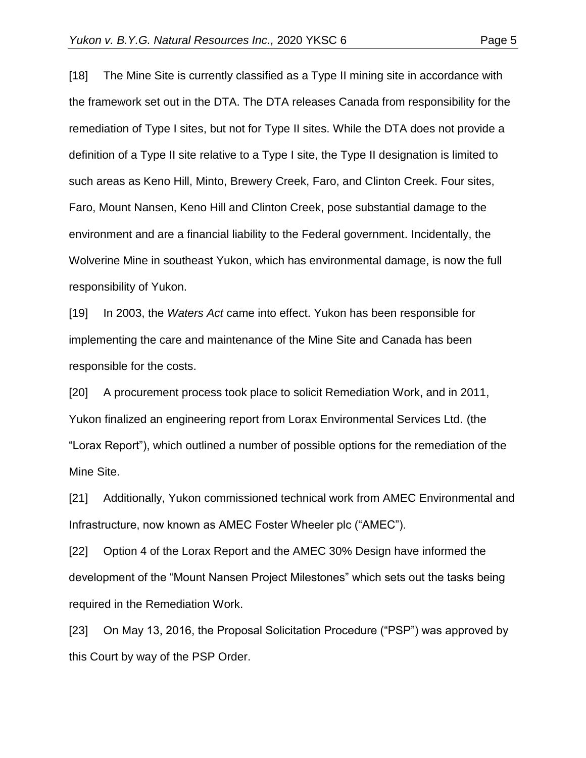[18] The Mine Site is currently classified as a Type II mining site in accordance with the framework set out in the DTA. The DTA releases Canada from responsibility for the remediation of Type I sites, but not for Type II sites. While the DTA does not provide a definition of a Type II site relative to a Type I site, the Type II designation is limited to such areas as Keno Hill, Minto, Brewery Creek, Faro, and Clinton Creek. Four sites, Faro, Mount Nansen, Keno Hill and Clinton Creek, pose substantial damage to the environment and are a financial liability to the Federal government. Incidentally, the Wolverine Mine in southeast Yukon, which has environmental damage, is now the full responsibility of Yukon.

[19] In 2003, the *Waters Act* came into effect. Yukon has been responsible for implementing the care and maintenance of the Mine Site and Canada has been responsible for the costs.

[20] A procurement process took place to solicit Remediation Work, and in 2011, Yukon finalized an engineering report from Lorax Environmental Services Ltd. (the "Lorax Report"), which outlined a number of possible options for the remediation of the Mine Site.

[21] Additionally, Yukon commissioned technical work from AMEC Environmental and Infrastructure, now known as AMEC Foster Wheeler plc ("AMEC").

[22] Option 4 of the Lorax Report and the AMEC 30% Design have informed the development of the "Mount Nansen Project Milestones" which sets out the tasks being required in the Remediation Work.

[23] On May 13, 2016, the Proposal Solicitation Procedure ("PSP") was approved by this Court by way of the PSP Order.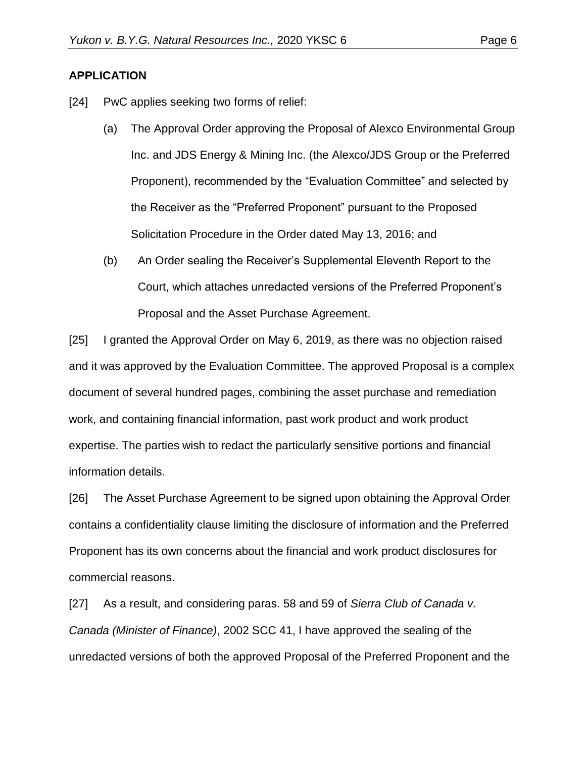## **APPLICATION**

- [24] PwC applies seeking two forms of relief:
	- (a) The Approval Order approving the Proposal of Alexco Environmental Group Inc. and JDS Energy & Mining Inc. (the Alexco/JDS Group or the Preferred Proponent), recommended by the "Evaluation Committee" and selected by the Receiver as the "Preferred Proponent" pursuant to the Proposed Solicitation Procedure in the Order dated May 13, 2016; and
	- (b) An Order sealing the Receiver's Supplemental Eleventh Report to the Court, which attaches unredacted versions of the Preferred Proponent's Proposal and the Asset Purchase Agreement.

[25] I granted the Approval Order on May 6, 2019, as there was no objection raised and it was approved by the Evaluation Committee. The approved Proposal is a complex document of several hundred pages, combining the asset purchase and remediation work, and containing financial information, past work product and work product expertise. The parties wish to redact the particularly sensitive portions and financial information details.

[26] The Asset Purchase Agreement to be signed upon obtaining the Approval Order contains a confidentiality clause limiting the disclosure of information and the Preferred Proponent has its own concerns about the financial and work product disclosures for commercial reasons.

[27] As a result, and considering paras. 58 and 59 of *Sierra Club of Canada v. Canada (Minister of Finance)*, 2002 SCC 41, I have approved the sealing of the unredacted versions of both the approved Proposal of the Preferred Proponent and the